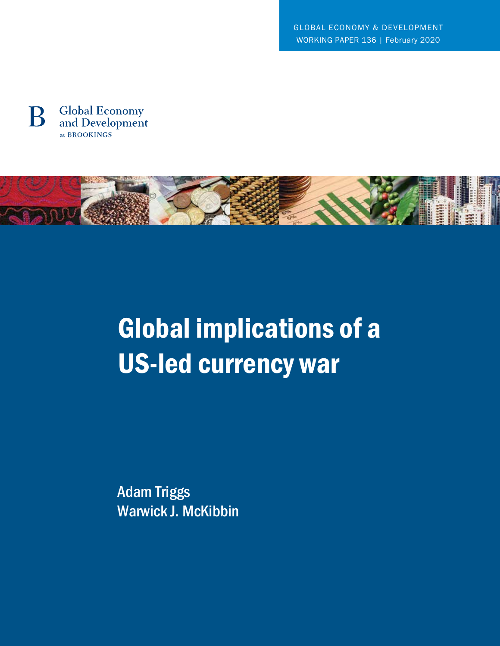GLOBAL ECONOMY & DEVELOPMENT WORKING PAPER 136 | February 2020





# Global implications of a US-led currency war

Adam Triggs Warwick J. McKibbin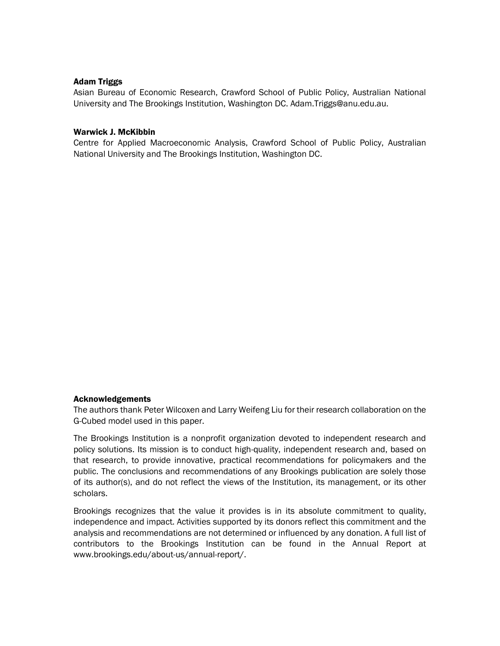## Adam Triggs

Asian Bureau of Economic Research, Crawford School of Public Policy, Australian National University and The Brookings Institution, Washington DC. Adam.Triggs@anu.edu.au.

### Warwick J. McKibbin

Centre for Applied Macroeconomic Analysis, Crawford School of Public Policy, Australian National University and The Brookings Institution, Washington DC.

#### Acknowledgements

The authors thank Peter Wilcoxen and Larry Weifeng Liu for their research collaboration on the G-Cubed model used in this paper.

The Brookings Institution is a nonprofit organization devoted to independent research and policy solutions. Its mission is to conduct high-quality, independent research and, based on that research, to provide innovative, practical recommendations for policymakers and the public. The conclusions and recommendations of any Brookings publication are solely those of its author(s), and do not reflect the views of the Institution, its management, or its other scholars.

Brookings recognizes that the value it provides is in its absolute commitment to quality, independence and impact. Activities supported by its donors reflect this commitment and the analysis and recommendations are not determined or influenced by any donation. A full list of contributors to the Brookings Institution can be found in the Annual Report at www.brookings.edu/about-us/annual-report/.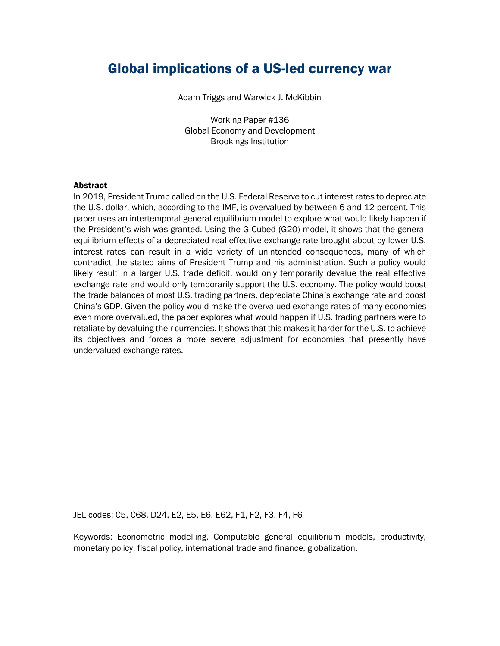## Global implications of a US-led currency war

Adam Triggs and Warwick J. McKibbin

Working Paper #136 Global Economy and Development Brookings Institution

#### **Abstract**

In 2019, President Trump called on the U.S. Federal Reserve to cut interest rates to depreciate the U.S. dollar, which, according to the IMF, is overvalued by between 6 and 12 percent. This paper uses an intertemporal general equilibrium model to explore what would likely happen if the President's wish was granted. Using the G-Cubed (G20) model, it shows that the general equilibrium effects of a depreciated real effective exchange rate brought about by lower U.S. interest rates can result in a wide variety of unintended consequences, many of which contradict the stated aims of President Trump and his administration. Such a policy would likely result in a larger U.S. trade deficit, would only temporarily devalue the real effective exchange rate and would only temporarily support the U.S. economy. The policy would boost the trade balances of most U.S. trading partners, depreciate China's exchange rate and boost China's GDP. Given the policy would make the overvalued exchange rates of many economies even more overvalued, the paper explores what would happen if U.S. trading partners were to retaliate by devaluing their currencies. It shows that this makes it harder for the U.S. to achieve its objectives and forces a more severe adjustment for economies that presently have undervalued exchange rates.

JEL codes: C5, C68, D24, E2, E5, E6, E62, F1, F2, F3, F4, F6

Keywords: Econometric modelling, Computable general equilibrium models, productivity, monetary policy, fiscal policy, international trade and finance, globalization.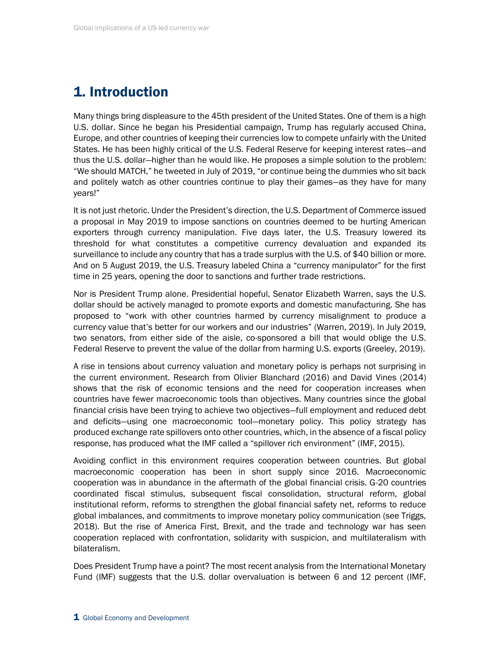# 1. Introduction

Many things bring displeasure to the 45th president of the United States. One of them is a high U.S. dollar. Since he began his Presidential campaign, Trump has regularly accused China, Europe, and other countries of keeping their currencies low to compete unfairly with the United States. He has been highly critical of the U.S. Federal Reserve for keeping interest rates—and thus the U.S. dollar—higher than he would like. He proposes a simple solution to the problem: "We should MATCH," he tweeted in July of 2019, "or continue being the dummies who sit back and politely watch as other countries continue to play their games—as they have for many years!"

It is not just rhetoric. Under the President's direction, the U.S. Department of Commerce issued a proposal in May 2019 to impose sanctions on countries deemed to be hurting American exporters through currency manipulation. Five days later, the U.S. Treasury lowered its threshold for what constitutes a competitive currency devaluation and expanded its surveillance to include any country that has a trade surplus with the U.S. of \$40 billion or more. And on 5 August 2019, the U.S. Treasury labeled China a "currency manipulator" for the first time in 25 years, opening the door to sanctions and further trade restrictions.

Nor is President Trump alone. Presidential hopeful, Senator Elizabeth Warren, says the U.S. dollar should be actively managed to promote exports and domestic manufacturing. She has proposed to "work with other countries harmed by currency misalignment to produce a currency value that's better for our workers and our industries" (Warren, 2019). In July 2019, two senators, from either side of the aisle, co-sponsored a bill that would oblige the U.S. Federal Reserve to prevent the value of the dollar from harming U.S. exports (Greeley, 2019).

A rise in tensions about currency valuation and monetary policy is perhaps not surprising in the current environment. Research from Olivier Blanchard (2016) and David Vines (2014) shows that the risk of economic tensions and the need for cooperation increases when countries have fewer macroeconomic tools than objectives. Many countries since the global financial crisis have been trying to achieve two objectives—full employment and reduced debt and deficits—using one macroeconomic tool—monetary policy. This policy strategy has produced exchange rate spillovers onto other countries, which, in the absence of a fiscal policy response, has produced what the IMF called a "spillover rich environment" (IMF, 2015).

Avoiding conflict in this environment requires cooperation between countries. But global macroeconomic cooperation has been in short supply since 2016. Macroeconomic cooperation was in abundance in the aftermath of the global financial crisis. G-20 countries coordinated fiscal stimulus, subsequent fiscal consolidation, structural reform, global institutional reform, reforms to strengthen the global financial safety net, reforms to reduce global imbalances, and commitments to improve monetary policy communication (see Triggs, 2018). But the rise of America First, Brexit, and the trade and technology war has seen cooperation replaced with confrontation, solidarity with suspicion, and multilateralism with bilateralism.

Does President Trump have a point? The most recent analysis from the International Monetary Fund (IMF) suggests that the U.S. dollar overvaluation is between 6 and 12 percent (IMF,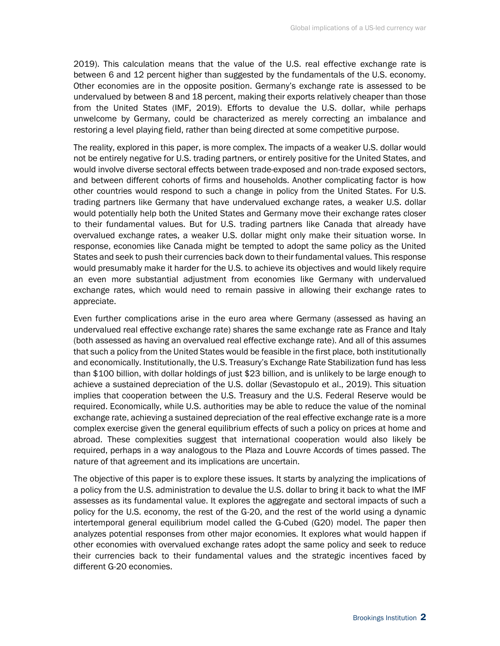2019). This calculation means that the value of the U.S. real effective exchange rate is between 6 and 12 percent higher than suggested by the fundamentals of the U.S. economy. Other economies are in the opposite position. Germany's exchange rate is assessed to be undervalued by between 8 and 18 percent, making their exports relatively cheaper than those from the United States (IMF, 2019). Efforts to devalue the U.S. dollar, while perhaps unwelcome by Germany, could be characterized as merely correcting an imbalance and restoring a level playing field, rather than being directed at some competitive purpose.

The reality, explored in this paper, is more complex. The impacts of a weaker U.S. dollar would not be entirely negative for U.S. trading partners, or entirely positive for the United States, and would involve diverse sectoral effects between trade-exposed and non-trade exposed sectors, and between different cohorts of firms and households. Another complicating factor is how other countries would respond to such a change in policy from the United States. For U.S. trading partners like Germany that have undervalued exchange rates, a weaker U.S. dollar would potentially help both the United States and Germany move their exchange rates closer to their fundamental values. But for U.S. trading partners like Canada that already have overvalued exchange rates, a weaker U.S. dollar might only make their situation worse. In response, economies like Canada might be tempted to adopt the same policy as the United States and seek to push their currencies back down to their fundamental values. This response would presumably make it harder for the U.S. to achieve its objectives and would likely require an even more substantial adjustment from economies like Germany with undervalued exchange rates, which would need to remain passive in allowing their exchange rates to appreciate.

Even further complications arise in the euro area where Germany (assessed as having an undervalued real effective exchange rate) shares the same exchange rate as France and Italy (both assessed as having an overvalued real effective exchange rate). And all of this assumes that such a policy from the United States would be feasible in the first place, both institutionally and economically. Institutionally, the U.S. Treasury's Exchange Rate Stabilization fund has less than \$100 billion, with dollar holdings of just \$23 billion, and is unlikely to be large enough to achieve a sustained depreciation of the U.S. dollar (Sevastopulo et al., 2019). This situation implies that cooperation between the U.S. Treasury and the U.S. Federal Reserve would be required. Economically, while U.S. authorities may be able to reduce the value of the nominal exchange rate, achieving a sustained depreciation of the real effective exchange rate is a more complex exercise given the general equilibrium effects of such a policy on prices at home and abroad. These complexities suggest that international cooperation would also likely be required, perhaps in a way analogous to the Plaza and Louvre Accords of times passed. The nature of that agreement and its implications are uncertain.

The objective of this paper is to explore these issues. It starts by analyzing the implications of a policy from the U.S. administration to devalue the U.S. dollar to bring it back to what the IMF assesses as its fundamental value. It explores the aggregate and sectoral impacts of such a policy for the U.S. economy, the rest of the G-20, and the rest of the world using a dynamic intertemporal general equilibrium model called the G-Cubed (G20) model. The paper then analyzes potential responses from other major economies. It explores what would happen if other economies with overvalued exchange rates adopt the same policy and seek to reduce their currencies back to their fundamental values and the strategic incentives faced by different G-20 economies.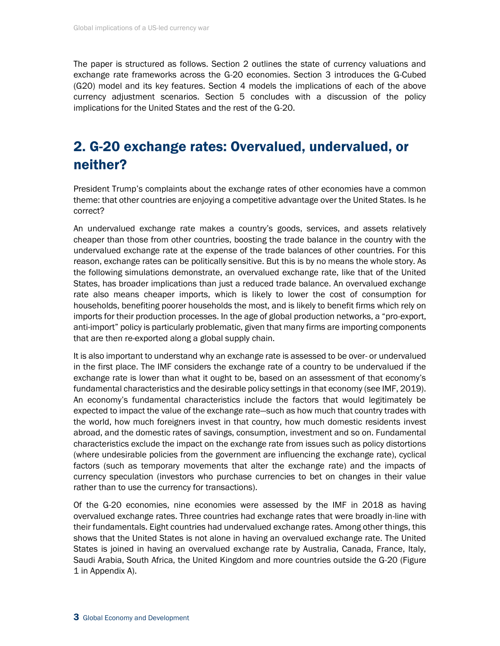The paper is structured as follows. Section 2 outlines the state of currency valuations and exchange rate frameworks across the G-20 economies. Section 3 introduces the G-Cubed (G20) model and its key features. Section 4 models the implications of each of the above currency adjustment scenarios. Section 5 concludes with a discussion of the policy implications for the United States and the rest of the G-20.

# 2. G-20 exchange rates: Overvalued, undervalued, or neither?

President Trump's complaints about the exchange rates of other economies have a common theme: that other countries are enjoying a competitive advantage over the United States. Is he correct?

An undervalued exchange rate makes a country's goods, services, and assets relatively cheaper than those from other countries, boosting the trade balance in the country with the undervalued exchange rate at the expense of the trade balances of other countries. For this reason, exchange rates can be politically sensitive. But this is by no means the whole story. As the following simulations demonstrate, an overvalued exchange rate, like that of the United States, has broader implications than just a reduced trade balance. An overvalued exchange rate also means cheaper imports, which is likely to lower the cost of consumption for households, benefiting poorer households the most, and is likely to benefit firms which rely on imports for their production processes. In the age of global production networks, a "pro-export, anti-import" policy is particularly problematic, given that many firms are importing components that are then re-exported along a global supply chain.

It is also important to understand why an exchange rate is assessed to be over- or undervalued in the first place. The IMF considers the exchange rate of a country to be undervalued if the exchange rate is lower than what it ought to be, based on an assessment of that economy's fundamental characteristics and the desirable policy settings in that economy (see IMF, 2019). An economy's fundamental characteristics include the factors that would legitimately be expected to impact the value of the exchange rate—such as how much that country trades with the world, how much foreigners invest in that country, how much domestic residents invest abroad, and the domestic rates of savings, consumption, investment and so on. Fundamental characteristics exclude the impact on the exchange rate from issues such as policy distortions (where undesirable policies from the government are influencing the exchange rate), cyclical factors (such as temporary movements that alter the exchange rate) and the impacts of currency speculation (investors who purchase currencies to bet on changes in their value rather than to use the currency for transactions).

Of the G-20 economies, nine economies were assessed by the IMF in 2018 as having overvalued exchange rates. Three countries had exchange rates that were broadly in-line with their fundamentals. Eight countries had undervalued exchange rates. Among other things, this shows that the United States is not alone in having an overvalued exchange rate. The United States is joined in having an overvalued exchange rate by Australia, Canada, France, Italy, Saudi Arabia, South Africa, the United Kingdom and more countries outside the G-20 (Figure 1 in Appendix A).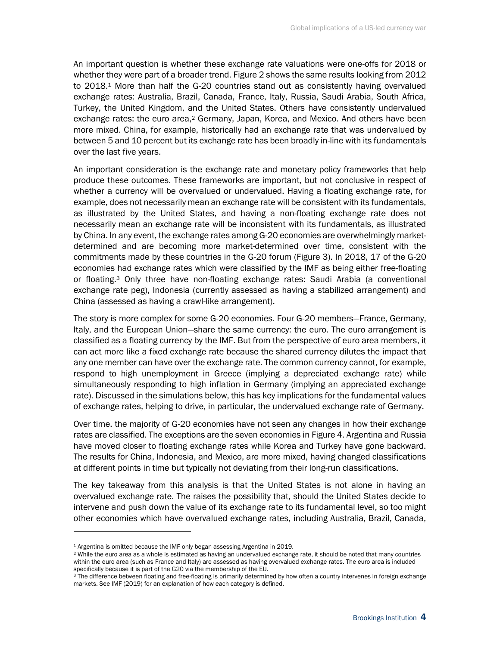An important question is whether these exchange rate valuations were one-offs for 2018 or whether they were part of a broader trend. Figure 2 shows the same results looking from 2012 to 2018.<sup>1</sup> More than half the G-20 countries stand out as consistently having overvalued exchange rates: Australia, Brazil, Canada, France, Italy, Russia, Saudi Arabia, South Africa, Turkey, the United Kingdom, and the United States. Others have consistently undervalued exchange rates: the euro area,<sup>2</sup> Germany, Japan, Korea, and Mexico. And others have been more mixed. China, for example, historically had an exchange rate that was undervalued by between 5 and 10 percent but its exchange rate has been broadly in-line with its fundamentals over the last five years.

An important consideration is the exchange rate and monetary policy frameworks that help produce these outcomes. These frameworks are important, but not conclusive in respect of whether a currency will be overvalued or undervalued. Having a floating exchange rate, for example, does not necessarily mean an exchange rate will be consistent with its fundamentals, as illustrated by the United States, and having a non-floating exchange rate does not necessarily mean an exchange rate will be inconsistent with its fundamentals, as illustrated by China. In any event, the exchange rates among G-20 economies are overwhelmingly marketdetermined and are becoming more market-determined over time, consistent with the commitments made by these countries in the G-20 forum (Figure 3). In 2018, 17 of the G-20 economies had exchange rates which were classified by the IMF as being either free-floating or floating.<sup>3</sup> Only three have non-floating exchange rates: Saudi Arabia (a conventional exchange rate peg), Indonesia (currently assessed as having a stabilized arrangement) and China (assessed as having a crawl-like arrangement).

The story is more complex for some G-20 economies. Four G-20 members—France, Germany, Italy, and the European Union—share the same currency: the euro. The euro arrangement is classified as a floating currency by the IMF. But from the perspective of euro area members, it can act more like a fixed exchange rate because the shared currency dilutes the impact that any one member can have over the exchange rate. The common currency cannot, for example, respond to high unemployment in Greece (implying a depreciated exchange rate) while simultaneously responding to high inflation in Germany (implying an appreciated exchange rate). Discussed in the simulations below, this has key implications for the fundamental values of exchange rates, helping to drive, in particular, the undervalued exchange rate of Germany.

Over time, the majority of G-20 economies have not seen any changes in how their exchange rates are classified. The exceptions are the seven economies in Figure 4. Argentina and Russia have moved closer to floating exchange rates while Korea and Turkey have gone backward. The results for China, Indonesia, and Mexico, are more mixed, having changed classifications at different points in time but typically not deviating from their long-run classifications.

The key takeaway from this analysis is that the United States is not alone in having an overvalued exchange rate. The raises the possibility that, should the United States decide to intervene and push down the value of its exchange rate to its fundamental level, so too might other economies which have overvalued exchange rates, including Australia, Brazil, Canada,

<sup>&</sup>lt;sup>1</sup> Argentina is omitted because the IMF only began assessing Argentina in 2019.

<sup>2</sup> While the euro area as a whole is estimated as having an undervalued exchange rate, it should be noted that many countries within the euro area (such as France and Italy) are assessed as having overvalued exchange rates. The euro area is included specifically because it is part of the G20 via the membership of the EU.

<sup>&</sup>lt;sup>3</sup> The difference between floating and free-floating is primarily determined by how often a country intervenes in foreign exchange markets. See IMF (2019) for an explanation of how each category is defined.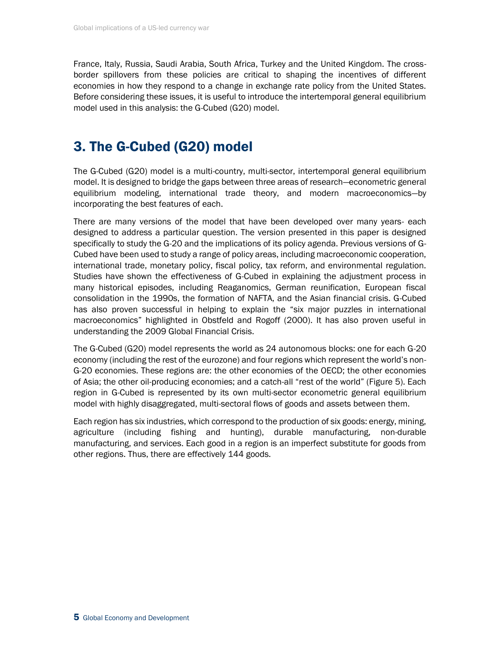France, Italy, Russia, Saudi Arabia, South Africa, Turkey and the United Kingdom. The crossborder spillovers from these policies are critical to shaping the incentives of different economies in how they respond to a change in exchange rate policy from the United States. Before considering these issues, it is useful to introduce the intertemporal general equilibrium model used in this analysis: the G-Cubed (G20) model.

# 3. The G-Cubed (G20) model

The G-Cubed (G20) model is a multi-country, multi-sector, intertemporal general equilibrium model. It is designed to bridge the gaps between three areas of research—econometric general equilibrium modeling, international trade theory, and modern macroeconomics—by incorporating the best features of each.

There are many versions of the model that have been developed over many years- each designed to address a particular question. The version presented in this paper is designed specifically to study the G-20 and the implications of its policy agenda. Previous versions of G-Cubed have been used to study a range of policy areas, including macroeconomic cooperation, international trade, monetary policy, fiscal policy, tax reform, and environmental regulation. Studies have shown the effectiveness of G-Cubed in explaining the adjustment process in many historical episodes, including Reaganomics, German reunification, European fiscal consolidation in the 1990s, the formation of NAFTA, and the Asian financial crisis. G-Cubed has also proven successful in helping to explain the "six major puzzles in international macroeconomics" highlighted in Obstfeld and Rogoff (2000). It has also proven useful in understanding the 2009 Global Financial Crisis.

The G-Cubed (G20) model represents the world as 24 autonomous blocks: one for each G-20 economy (including the rest of the eurozone) and four regions which represent the world's non-G-20 economies. These regions are: the other economies of the OECD; the other economies of Asia; the other oil-producing economies; and a catch-all "rest of the world" (Figure 5). Each region in G-Cubed is represented by its own multi-sector econometric general equilibrium model with highly disaggregated, multi-sectoral flows of goods and assets between them.

Each region has six industries, which correspond to the production of six goods: energy, mining, agriculture (including fishing and hunting), durable manufacturing, non-durable manufacturing, and services. Each good in a region is an imperfect substitute for goods from other regions. Thus, there are effectively 144 goods.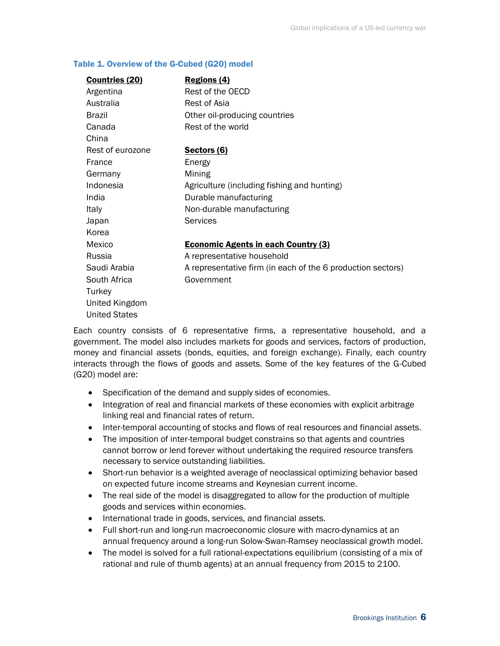#### Table 1. Overview of the G-Cubed (G20) model

| <b>Countries (20)</b> | Regions (4)                                                 |  |  |
|-----------------------|-------------------------------------------------------------|--|--|
| Argentina             | Rest of the OECD                                            |  |  |
| Australia             | Rest of Asia                                                |  |  |
| <b>Brazil</b>         | Other oil-producing countries                               |  |  |
| Canada                | Rest of the world                                           |  |  |
| China                 |                                                             |  |  |
| Rest of eurozone      | Sectors (6)                                                 |  |  |
| France                | Energy                                                      |  |  |
| Germany               | Mining                                                      |  |  |
| Indonesia             | Agriculture (including fishing and hunting)                 |  |  |
| India                 | Durable manufacturing                                       |  |  |
| Italy                 | Non-durable manufacturing                                   |  |  |
| Japan                 | <b>Services</b>                                             |  |  |
| Korea                 |                                                             |  |  |
| Mexico                | <b>Economic Agents in each Country (3)</b>                  |  |  |
| Russia                | A representative household                                  |  |  |
| Saudi Arabia          | A representative firm (in each of the 6 production sectors) |  |  |
| South Africa          | Government                                                  |  |  |
| Turkey                |                                                             |  |  |
| United Kingdom        |                                                             |  |  |
| <b>United States</b>  |                                                             |  |  |

Each country consists of 6 representative firms, a representative household, and a government. The model also includes markets for goods and services, factors of production, money and financial assets (bonds, equities, and foreign exchange). Finally, each country interacts through the flows of goods and assets. Some of the key features of the G-Cubed (G20) model are:

- Specification of the demand and supply sides of economies.
- Integration of real and financial markets of these economies with explicit arbitrage linking real and financial rates of return.
- Inter-temporal accounting of stocks and flows of real resources and financial assets.
- The imposition of inter-temporal budget constrains so that agents and countries cannot borrow or lend forever without undertaking the required resource transfers necessary to service outstanding liabilities.
- Short-run behavior is a weighted average of neoclassical optimizing behavior based on expected future income streams and Keynesian current income.
- The real side of the model is disaggregated to allow for the production of multiple goods and services within economies.
- International trade in goods, services, and financial assets.
- Full short-run and long-run macroeconomic closure with macro-dynamics at an annual frequency around a long-run Solow-Swan-Ramsey neoclassical growth model.
- The model is solved for a full rational-expectations equilibrium (consisting of a mix of rational and rule of thumb agents) at an annual frequency from 2015 to 2100.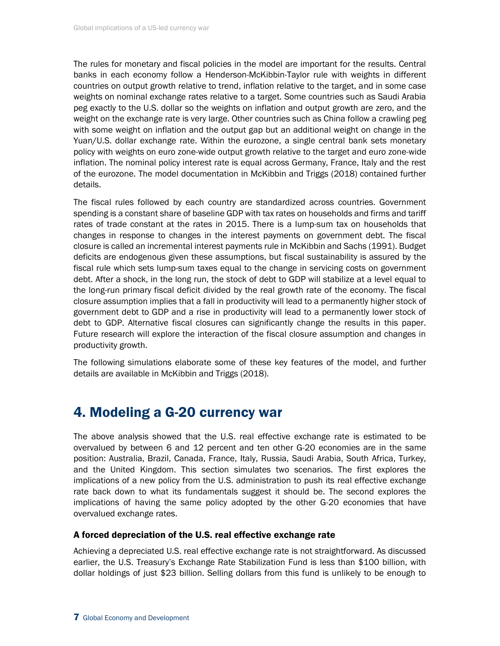The rules for monetary and fiscal policies in the model are important for the results. Central banks in each economy follow a Henderson-McKibbin-Taylor rule with weights in different countries on output growth relative to trend, inflation relative to the target, and in some case weights on nominal exchange rates relative to a target. Some countries such as Saudi Arabia peg exactly to the U.S. dollar so the weights on inflation and output growth are zero, and the weight on the exchange rate is very large. Other countries such as China follow a crawling peg with some weight on inflation and the output gap but an additional weight on change in the Yuan/U.S. dollar exchange rate. Within the eurozone, a single central bank sets monetary policy with weights on euro zone-wide output growth relative to the target and euro zone-wide inflation. The nominal policy interest rate is equal across Germany, France, Italy and the rest of the eurozone. The model documentation in McKibbin and Triggs (2018) contained further details.

The fiscal rules followed by each country are standardized across countries. Government spending is a constant share of baseline GDP with tax rates on households and firms and tariff rates of trade constant at the rates in 2015. There is a lump-sum tax on households that changes in response to changes in the interest payments on government debt. The fiscal closure is called an incremental interest payments rule in McKibbin and Sachs (1991). Budget deficits are endogenous given these assumptions, but fiscal sustainability is assured by the fiscal rule which sets lump-sum taxes equal to the change in servicing costs on government debt. After a shock, in the long run, the stock of debt to GDP will stabilize at a level equal to the long-run primary fiscal deficit divided by the real growth rate of the economy. The fiscal closure assumption implies that a fall in productivity will lead to a permanently higher stock of government debt to GDP and a rise in productivity will lead to a permanently lower stock of debt to GDP. Alternative fiscal closures can significantly change the results in this paper. Future research will explore the interaction of the fiscal closure assumption and changes in productivity growth.

The following simulations elaborate some of these key features of the model, and further details are available in McKibbin and Triggs (2018).

## 4. Modeling a G-20 currency war

The above analysis showed that the U.S. real effective exchange rate is estimated to be overvalued by between 6 and 12 percent and ten other G-20 economies are in the same position: Australia, Brazil, Canada, France, Italy, Russia, Saudi Arabia, South Africa, Turkey, and the United Kingdom. This section simulates two scenarios. The first explores the implications of a new policy from the U.S. administration to push its real effective exchange rate back down to what its fundamentals suggest it should be. The second explores the implications of having the same policy adopted by the other G-20 economies that have overvalued exchange rates.

## A forced depreciation of the U.S. real effective exchange rate

Achieving a depreciated U.S. real effective exchange rate is not straightforward. As discussed earlier, the U.S. Treasury's Exchange Rate Stabilization Fund is less than \$100 billion, with dollar holdings of just \$23 billion. Selling dollars from this fund is unlikely to be enough to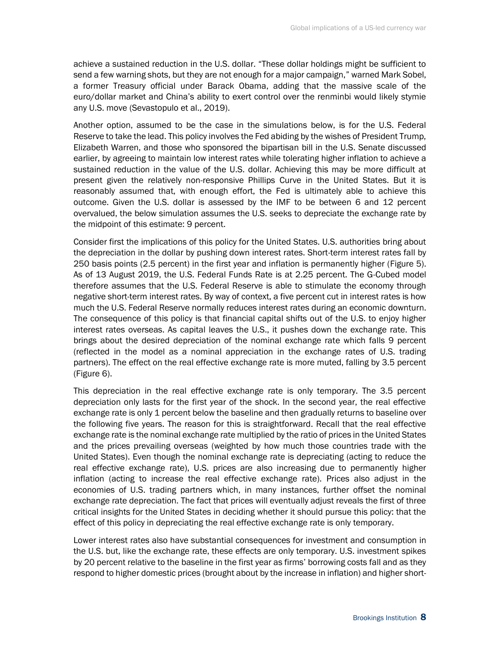achieve a sustained reduction in the U.S. dollar. "These dollar holdings might be sufficient to send a few warning shots, but they are not enough for a major campaign," warned Mark Sobel, a former Treasury official under Barack Obama, adding that the massive scale of the euro/dollar market and China's ability to exert control over the renminbi would likely stymie any U.S. move (Sevastopulo et al., 2019).

Another option, assumed to be the case in the simulations below, is for the U.S. Federal Reserve to take the lead. This policy involves the Fed abiding by the wishes of President Trump, Elizabeth Warren, and those who sponsored the bipartisan bill in the U.S. Senate discussed earlier, by agreeing to maintain low interest rates while tolerating higher inflation to achieve a sustained reduction in the value of the U.S. dollar. Achieving this may be more difficult at present given the relatively non-responsive Phillips Curve in the United States. But it is reasonably assumed that, with enough effort, the Fed is ultimately able to achieve this outcome. Given the U.S. dollar is assessed by the IMF to be between 6 and 12 percent overvalued, the below simulation assumes the U.S. seeks to depreciate the exchange rate by the midpoint of this estimate: 9 percent.

Consider first the implications of this policy for the United States. U.S. authorities bring about the depreciation in the dollar by pushing down interest rates. Short-term interest rates fall by 250 basis points (2.5 percent) in the first year and inflation is permanently higher (Figure 5). As of 13 August 2019, the U.S. Federal Funds Rate is at 2.25 percent. The G-Cubed model therefore assumes that the U.S. Federal Reserve is able to stimulate the economy through negative short-term interest rates. By way of context, a five percent cut in interest rates is how much the U.S. Federal Reserve normally reduces interest rates during an economic downturn. The consequence of this policy is that financial capital shifts out of the U.S. to enjoy higher interest rates overseas. As capital leaves the U.S., it pushes down the exchange rate. This brings about the desired depreciation of the nominal exchange rate which falls 9 percent (reflected in the model as a nominal appreciation in the exchange rates of U.S. trading partners). The effect on the real effective exchange rate is more muted, falling by 3.5 percent (Figure 6).

This depreciation in the real effective exchange rate is only temporary. The 3.5 percent depreciation only lasts for the first year of the shock. In the second year, the real effective exchange rate is only 1 percent below the baseline and then gradually returns to baseline over the following five years. The reason for this is straightforward. Recall that the real effective exchange rate is the nominal exchange rate multiplied by the ratio of prices in the United States and the prices prevailing overseas (weighted by how much those countries trade with the United States). Even though the nominal exchange rate is depreciating (acting to reduce the real effective exchange rate), U.S. prices are also increasing due to permanently higher inflation (acting to increase the real effective exchange rate). Prices also adjust in the economies of U.S. trading partners which, in many instances, further offset the nominal exchange rate depreciation. The fact that prices will eventually adjust reveals the first of three critical insights for the United States in deciding whether it should pursue this policy: that the effect of this policy in depreciating the real effective exchange rate is only temporary.

Lower interest rates also have substantial consequences for investment and consumption in the U.S. but, like the exchange rate, these effects are only temporary. U.S. investment spikes by 20 percent relative to the baseline in the first year as firms' borrowing costs fall and as they respond to higher domestic prices (brought about by the increase in inflation) and higher short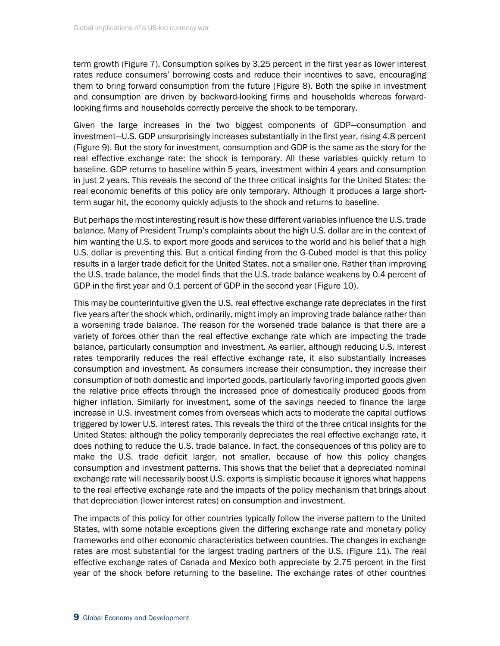term growth (Figure 7). Consumption spikes by 3.25 percent in the first year as lower interest rates reduce consumers' borrowing costs and reduce their incentives to save, encouraging them to bring forward consumption from the future (Figure 8). Both the spike in investment and consumption are driven by backward-looking firms and households whereas forwardlooking firms and households correctly perceive the shock to be temporary.

Given the large increases in the two biggest components of GDP—consumption and investment—U.S. GDP unsurprisingly increases substantially in the first year, rising 4.8 percent (Figure 9). But the story for investment, consumption and GDP is the same as the story for the real effective exchange rate: the shock is temporary. All these variables quickly return to baseline. GDP returns to baseline within 5 years, investment within 4 years and consumption in just 2 years. This reveals the second of the three critical insights for the United States: the real economic benefits of this policy are only temporary. Although it produces a large shortterm sugar hit, the economy quickly adjusts to the shock and returns to baseline.

But perhaps the most interesting result is how these different variables influence the U.S. trade balance. Many of President Trump's complaints about the high U.S. dollar are in the context of him wanting the U.S. to export more goods and services to the world and his belief that a high U.S. dollar is preventing this. But a critical finding from the G-Cubed model is that this policy results in a larger trade deficit for the United States, not a smaller one. Rather than improving the U.S. trade balance, the model finds that the U.S. trade balance weakens by 0.4 percent of GDP in the first year and 0.1 percent of GDP in the second year (Figure 10).

This may be counterintuitive given the U.S. real effective exchange rate depreciates in the first five years after the shock which, ordinarily, might imply an improving trade balance rather than a worsening trade balance. The reason for the worsened trade balance is that there are a variety of forces other than the real effective exchange rate which are impacting the trade balance, particularly consumption and investment. As earlier, although reducing U.S. interest rates temporarily reduces the real effective exchange rate, it also substantially increases consumption and investment. As consumers increase their consumption, they increase their consumption of both domestic and imported goods, particularly favoring imported goods given the relative price effects through the increased price of domestically produced goods from higher inflation. Similarly for investment, some of the savings needed to finance the large increase in U.S. investment comes from overseas which acts to moderate the capital outflows triggered by lower U.S. interest rates. This reveals the third of the three critical insights for the United States: although the policy temporarily depreciates the real effective exchange rate, it does nothing to reduce the U.S. trade balance. In fact, the consequences of this policy are to make the U.S. trade deficit larger, not smaller, because of how this policy changes consumption and investment patterns. This shows that the belief that a depreciated nominal exchange rate will necessarily boost U.S. exports is simplistic because it ignores what happens to the real effective exchange rate and the impacts of the policy mechanism that brings about that depreciation (lower interest rates) on consumption and investment.

The impacts of this policy for other countries typically follow the inverse pattern to the United States, with some notable exceptions given the differing exchange rate and monetary policy frameworks and other economic characteristics between countries. The changes in exchange rates are most substantial for the largest trading partners of the U.S. (Figure 11). The real effective exchange rates of Canada and Mexico both appreciate by 2.75 percent in the first year of the shock before returning to the baseline. The exchange rates of other countries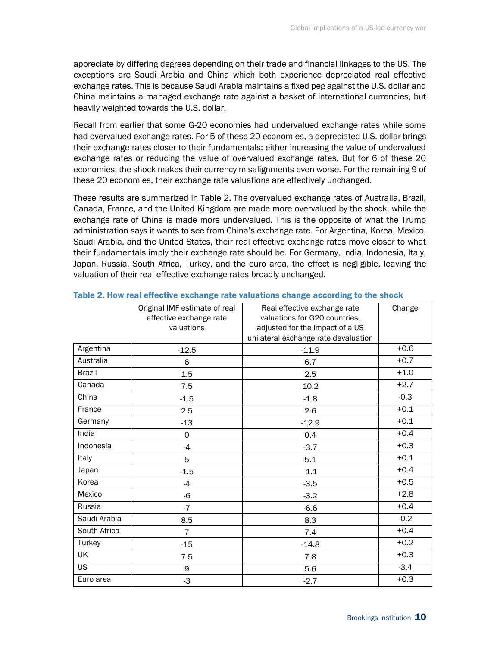appreciate by differing degrees depending on their trade and financial linkages to the US. The exceptions are Saudi Arabia and China which both experience depreciated real effective exchange rates. This is because Saudi Arabia maintains a fixed peg against the U.S. dollar and China maintains a managed exchange rate against a basket of international currencies, but heavily weighted towards the U.S. dollar.

Recall from earlier that some G-20 economies had undervalued exchange rates while some had overvalued exchange rates. For 5 of these 20 economies, a depreciated U.S. dollar brings their exchange rates closer to their fundamentals: either increasing the value of undervalued exchange rates or reducing the value of overvalued exchange rates. But for 6 of these 20 economies, the shock makes their currency misalignments even worse. For the remaining 9 of these 20 economies, their exchange rate valuations are effectively unchanged.

These results are summarized in Table 2. The overvalued exchange rates of Australia, Brazil, Canada, France, and the United Kingdom are made more overvalued by the shock, while the exchange rate of China is made more undervalued. This is the opposite of what the Trump administration says it wants to see from China's exchange rate. For Argentina, Korea, Mexico, Saudi Arabia, and the United States, their real effective exchange rates move closer to what their fundamentals imply their exchange rate should be. For Germany, India, Indonesia, Italy, Japan, Russia, South Africa, Turkey, and the euro area, the effect is negligible, leaving the valuation of their real effective exchange rates broadly unchanged.

|               | Original IMF estimate of real                            | Real effective exchange rate         | Change |
|---------------|----------------------------------------------------------|--------------------------------------|--------|
|               | effective exchange rate<br>valuations for G20 countries, |                                      |        |
|               | valuations                                               | adjusted for the impact of a US      |        |
|               |                                                          | unilateral exchange rate devaluation |        |
| Argentina     | $-12.5$                                                  | $-11.9$                              | $+0.6$ |
| Australia     | 6                                                        | 6.7                                  | $+0.7$ |
| <b>Brazil</b> | 1.5                                                      | 2.5                                  | $+1.0$ |
| Canada        | 7.5                                                      | 10.2                                 | $+2.7$ |
| China         | $-1.5$                                                   | $-1.8$                               | $-0.3$ |
| France        | 2.5                                                      | 2.6                                  | $+0.1$ |
| Germany       | $-13$                                                    | $-12.9$                              | $+0.1$ |
| India         | 0                                                        | 0.4                                  | $+0.4$ |
| Indonesia     | $-4$                                                     | $-3.7$                               | $+0.3$ |
| Italy         | 5                                                        | 5.1                                  | $+0.1$ |
| Japan         | $-1.5$                                                   | $-1.1$                               | $+0.4$ |
| Korea         | $-4$                                                     | $-3.5$                               | $+0.5$ |
| Mexico        | -6                                                       | $-3.2$                               | $+2.8$ |
| Russia        | $-7$                                                     | $-6.6$                               | $+0.4$ |
| Saudi Arabia  | 8.5                                                      | 8.3                                  | $-0.2$ |
| South Africa  | $\overline{7}$                                           | 7.4                                  | $+0.4$ |
| Turkey        | $-15$                                                    | $-14.8$                              | $+0.2$ |
| UK            | 7.5                                                      | 7.8                                  | $+0.3$ |
| <b>US</b>     | 9                                                        | 5.6                                  | $-3.4$ |
| Euro area     | $-3$                                                     | $-2.7$                               | $+0.3$ |

#### Table 2. How real effective exchange rate valuations change according to the shock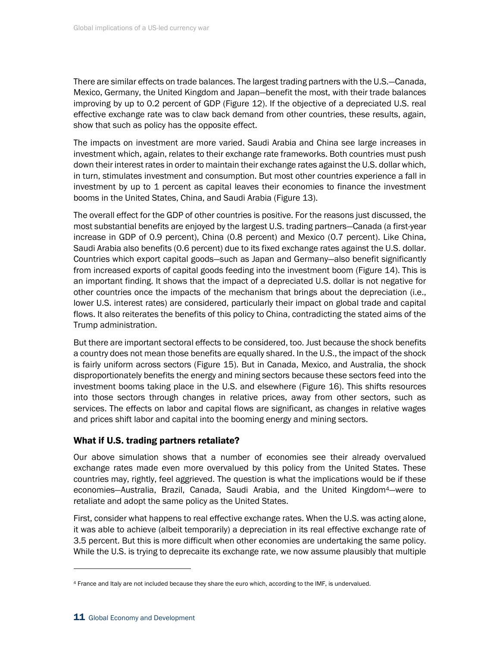There are similar effects on trade balances. The largest trading partners with the U.S.—Canada, Mexico, Germany, the United Kingdom and Japan—benefit the most, with their trade balances improving by up to 0.2 percent of GDP (Figure 12). If the objective of a depreciated U.S. real effective exchange rate was to claw back demand from other countries, these results, again, show that such as policy has the opposite effect.

The impacts on investment are more varied. Saudi Arabia and China see large increases in investment which, again, relates to their exchange rate frameworks. Both countries must push down their interest rates in order to maintain their exchange rates against the U.S. dollar which, in turn, stimulates investment and consumption. But most other countries experience a fall in investment by up to 1 percent as capital leaves their economies to finance the investment booms in the United States, China, and Saudi Arabia (Figure 13).

The overall effect for the GDP of other countries is positive. For the reasons just discussed, the most substantial benefits are enjoyed by the largest U.S. trading partners—Canada (a first-year increase in GDP of 0.9 percent), China (0.8 percent) and Mexico (0.7 percent). Like China, Saudi Arabia also benefits (0.6 percent) due to its fixed exchange rates against the U.S. dollar. Countries which export capital goods—such as Japan and Germany—also benefit significantly from increased exports of capital goods feeding into the investment boom (Figure 14). This is an important finding. It shows that the impact of a depreciated U.S. dollar is not negative for other countries once the impacts of the mechanism that brings about the depreciation (i.e., lower U.S. interest rates) are considered, particularly their impact on global trade and capital flows. It also reiterates the benefits of this policy to China, contradicting the stated aims of the Trump administration.

But there are important sectoral effects to be considered, too. Just because the shock benefits a country does not mean those benefits are equally shared. In the U.S., the impact of the shock is fairly uniform across sectors (Figure 15). But in Canada, Mexico, and Australia, the shock disproportionately benefits the energy and mining sectors because these sectors feed into the investment booms taking place in the U.S. and elsewhere (Figure 16). This shifts resources into those sectors through changes in relative prices, away from other sectors, such as services. The effects on labor and capital flows are significant, as changes in relative wages and prices shift labor and capital into the booming energy and mining sectors.

## What if U.S. trading partners retaliate?

Our above simulation shows that a number of economies see their already overvalued exchange rates made even more overvalued by this policy from the United States. These countries may, rightly, feel aggrieved. The question is what the implications would be if these economies—Australia, Brazil, Canada, Saudi Arabia, and the United Kingdom4—were to retaliate and adopt the same policy as the United States.

First, consider what happens to real effective exchange rates. When the U.S. was acting alone, it was able to achieve (albeit temporarily) a depreciation in its real effective exchange rate of 3.5 percent. But this is more difficult when other economies are undertaking the same policy. While the U.S. is trying to deprecaite its exchange rate, we now assume plausibly that multiple

<sup>4</sup> France and Italy are not included because they share the euro which, according to the IMF, is undervalued.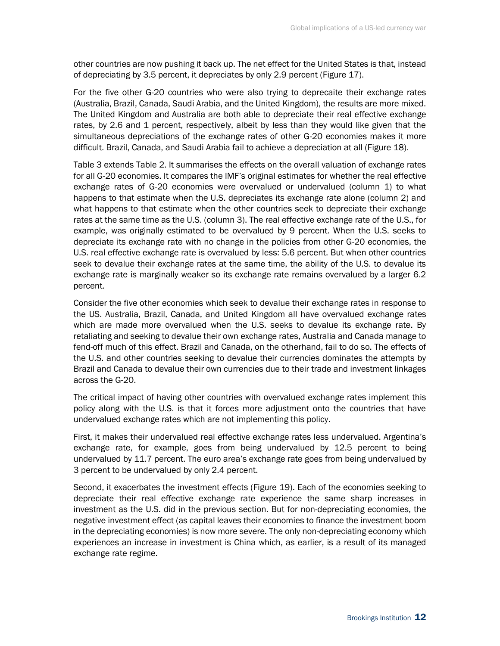other countries are now pushing it back up. The net effect for the United States is that, instead of depreciating by 3.5 percent, it depreciates by only 2.9 percent (Figure 17).

For the five other G-20 countries who were also trying to deprecaite their exchange rates (Australia, Brazil, Canada, Saudi Arabia, and the United Kingdom), the results are more mixed. The United Kingdom and Australia are both able to depreciate their real effective exchange rates, by 2.6 and 1 percent, respectively, albeit by less than they would like given that the simultaneous depreciations of the exchange rates of other G-20 economies makes it more difficult. Brazil, Canada, and Saudi Arabia fail to achieve a depreciation at all (Figure 18).

Table 3 extends Table 2. It summarises the effects on the overall valuation of exchange rates for all G-20 economies. It compares the IMF's original estimates for whether the real effective exchange rates of G-20 economies were overvalued or undervalued (column 1) to what happens to that estimate when the U.S. depreciates its exchange rate alone (column 2) and what happens to that estimate when the other countries seek to depreciate their exchange rates at the same time as the U.S. (column 3). The real effective exchange rate of the U.S., for example, was originally estimated to be overvalued by 9 percent. When the U.S. seeks to depreciate its exchange rate with no change in the policies from other G-20 economies, the U.S. real effective exchange rate is overvalued by less: 5.6 percent. But when other countries seek to devalue their exchange rates at the same time, the ability of the U.S. to devalue its exchange rate is marginally weaker so its exchange rate remains overvalued by a larger 6.2 percent.

Consider the five other economies which seek to devalue their exchange rates in response to the US. Australia, Brazil, Canada, and United Kingdom all have overvalued exchange rates which are made more overvalued when the U.S. seeks to devalue its exchange rate. By retaliating and seeking to devalue their own exchange rates, Australia and Canada manage to fend-off much of this effect. Brazil and Canada, on the otherhand, fail to do so. The effects of the U.S. and other countries seeking to devalue their currencies dominates the attempts by Brazil and Canada to devalue their own currencies due to their trade and investment linkages across the G-20.

The critical impact of having other countries with overvalued exchange rates implement this policy along with the U.S. is that it forces more adjustment onto the countries that have undervalued exchange rates which are not implementing this policy.

First, it makes their undervalued real effective exchange rates less undervalued. Argentina's exchange rate, for example, goes from being undervalued by 12.5 percent to being undervalued by 11.7 percent. The euro area's exchange rate goes from being undervalued by 3 percent to be undervalued by only 2.4 percent.

Second, it exacerbates the investment effects (Figure 19). Each of the economies seeking to depreciate their real effective exchange rate experience the same sharp increases in investment as the U.S. did in the previous section. But for non-depreciating economies, the negative investment effect (as capital leaves their economies to finance the investment boom in the depreciating economies) is now more severe. The only non-depreciating economy which experiences an increase in investment is China which, as earlier, is a result of its managed exchange rate regime.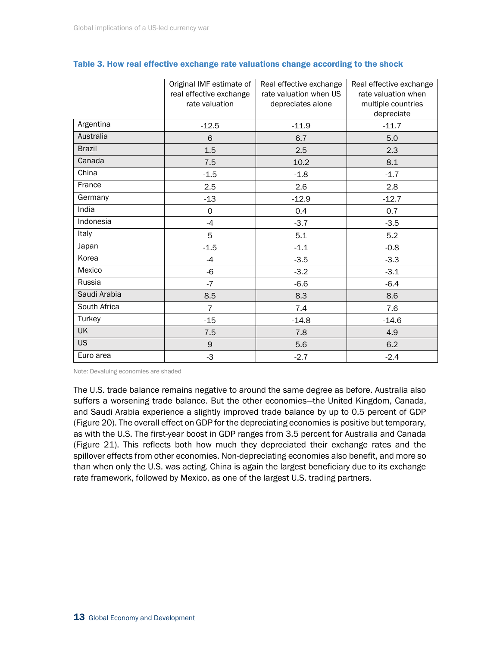|               | Original IMF estimate of<br>real effective exchange<br>rate valuation | Real effective exchange<br>rate valuation when US<br>depreciates alone | Real effective exchange<br>rate valuation when<br>multiple countries<br>depreciate |
|---------------|-----------------------------------------------------------------------|------------------------------------------------------------------------|------------------------------------------------------------------------------------|
| Argentina     | $-12.5$                                                               | $-11.9$                                                                | $-11.7$                                                                            |
| Australia     | 6                                                                     | 6.7                                                                    | 5.0                                                                                |
| <b>Brazil</b> | 1.5                                                                   | 2.5                                                                    | 2.3                                                                                |
| Canada        | 7.5                                                                   | 10.2                                                                   | 8.1                                                                                |
| China         | $-1.5$                                                                | $-1.8$                                                                 | $-1.7$                                                                             |
| France        | 2.5                                                                   | 2.6                                                                    | 2.8                                                                                |
| Germany       | $-13$                                                                 | $-12.9$                                                                | $-12.7$                                                                            |
| India         | 0                                                                     | 0.4                                                                    | 0.7                                                                                |
| Indonesia     | $-4$                                                                  | $-3.7$                                                                 | $-3.5$                                                                             |
| Italy         | 5                                                                     | 5.1                                                                    | 5.2                                                                                |
| Japan         | $-1.5$                                                                | $-1.1$                                                                 | $-0.8$                                                                             |
| Korea         | $-4$                                                                  | $-3.5$                                                                 | $-3.3$                                                                             |
| Mexico        | $-6$                                                                  | $-3.2$                                                                 | $-3.1$                                                                             |
| Russia        | $-7$                                                                  | $-6.6$                                                                 | $-6.4$                                                                             |
| Saudi Arabia  | 8.5                                                                   | 8.3                                                                    | 8.6                                                                                |
| South Africa  | $\overline{7}$                                                        | 7.4                                                                    | 7.6                                                                                |
| Turkey        | $-15$                                                                 | $-14.8$                                                                | $-14.6$                                                                            |
| <b>UK</b>     | 7.5                                                                   | 7.8                                                                    | 4.9                                                                                |
| <b>US</b>     | $\mathsf 9$                                                           | 5.6                                                                    | 6.2                                                                                |
| Euro area     | $-3$                                                                  | $-2.7$                                                                 | $-2.4$                                                                             |

### Table 3. How real effective exchange rate valuations change according to the shock

Note: Devaluing economies are shaded

The U.S. trade balance remains negative to around the same degree as before. Australia also suffers a worsening trade balance. But the other economies—the United Kingdom, Canada, and Saudi Arabia experience a slightly improved trade balance by up to 0.5 percent of GDP (Figure 20). The overall effect on GDP for the depreciating economies is positive but temporary, as with the U.S. The first-year boost in GDP ranges from 3.5 percent for Australia and Canada (Figure 21). This reflects both how much they depreciated their exchange rates and the spillover effects from other economies. Non-depreciating economies also benefit, and more so than when only the U.S. was acting. China is again the largest beneficiary due to its exchange rate framework, followed by Mexico, as one of the largest U.S. trading partners.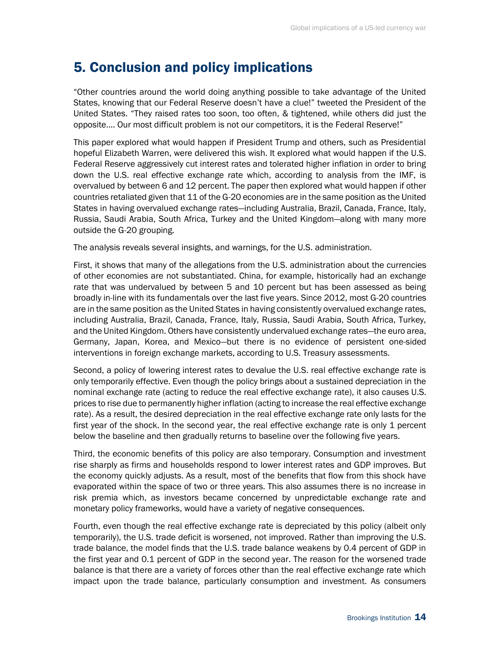# 5. Conclusion and policy implications

"Other countries around the world doing anything possible to take advantage of the United States, knowing that our Federal Reserve doesn't have a clue!" tweeted the President of the United States. "They raised rates too soon, too often, & tightened, while others did just the opposite.... Our most difficult problem is not our competitors, it is the Federal Reserve!"

This paper explored what would happen if President Trump and others, such as Presidential hopeful Elizabeth Warren, were delivered this wish. It explored what would happen if the U.S. Federal Reserve aggressively cut interest rates and tolerated higher inflation in order to bring down the U.S. real effective exchange rate which, according to analysis from the IMF, is overvalued by between 6 and 12 percent. The paper then explored what would happen if other countries retaliated given that 11 of the G-20 economies are in the same position as the United States in having overvalued exchange rates—including Australia, Brazil, Canada, France, Italy, Russia, Saudi Arabia, South Africa, Turkey and the United Kingdom—along with many more outside the G-20 grouping.

The analysis reveals several insights, and warnings, for the U.S. administration.

First, it shows that many of the allegations from the U.S. administration about the currencies of other economies are not substantiated. China, for example, historically had an exchange rate that was undervalued by between 5 and 10 percent but has been assessed as being broadly in-line with its fundamentals over the last five years. Since 2012, most G-20 countries are in the same position as the United States in having consistently overvalued exchange rates, including Australia, Brazil, Canada, France, Italy, Russia, Saudi Arabia, South Africa, Turkey, and the United Kingdom. Others have consistently undervalued exchange rates—the euro area, Germany, Japan, Korea, and Mexico—but there is no evidence of persistent one-sided interventions in foreign exchange markets, according to U.S. Treasury assessments.

Second, a policy of lowering interest rates to devalue the U.S. real effective exchange rate is only temporarily effective. Even though the policy brings about a sustained depreciation in the nominal exchange rate (acting to reduce the real effective exchange rate), it also causes U.S. prices to rise due to permanently higher inflation (acting to increase the real effective exchange rate). As a result, the desired depreciation in the real effective exchange rate only lasts for the first year of the shock. In the second year, the real effective exchange rate is only 1 percent below the baseline and then gradually returns to baseline over the following five years.

Third, the economic benefits of this policy are also temporary. Consumption and investment rise sharply as firms and households respond to lower interest rates and GDP improves. But the economy quickly adjusts. As a result, most of the benefits that flow from this shock have evaporated within the space of two or three years. This also assumes there is no increase in risk premia which, as investors became concerned by unpredictable exchange rate and monetary policy frameworks, would have a variety of negative consequences.

Fourth, even though the real effective exchange rate is depreciated by this policy (albeit only temporarily), the U.S. trade deficit is worsened, not improved. Rather than improving the U.S. trade balance, the model finds that the U.S. trade balance weakens by 0.4 percent of GDP in the first year and 0.1 percent of GDP in the second year. The reason for the worsened trade balance is that there are a variety of forces other than the real effective exchange rate which impact upon the trade balance, particularly consumption and investment. As consumers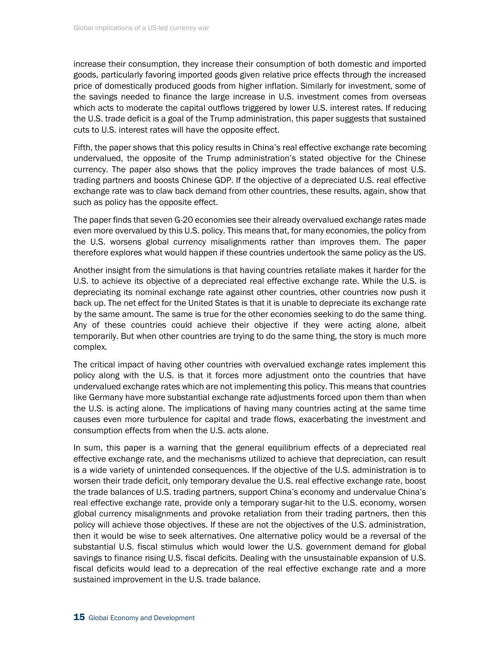increase their consumption, they increase their consumption of both domestic and imported goods, particularly favoring imported goods given relative price effects through the increased price of domestically produced goods from higher inflation. Similarly for investment, some of the savings needed to finance the large increase in U.S. investment comes from overseas which acts to moderate the capital outflows triggered by lower U.S. interest rates. If reducing the U.S. trade deficit is a goal of the Trump administration, this paper suggests that sustained cuts to U.S. interest rates will have the opposite effect.

Fifth, the paper shows that this policy results in China's real effective exchange rate becoming undervalued, the opposite of the Trump administration's stated objective for the Chinese currency. The paper also shows that the policy improves the trade balances of most U.S. trading partners and boosts Chinese GDP. If the objective of a depreciated U.S. real effective exchange rate was to claw back demand from other countries, these results, again, show that such as policy has the opposite effect.

The paper finds that seven G-20 economies see their already overvalued exchange rates made even more overvalued by this U.S. policy. This means that, for many economies, the policy from the U.S. worsens global currency misalignments rather than improves them. The paper therefore explores what would happen if these countries undertook the same policy as the US.

Another insight from the simulations is that having countries retaliate makes it harder for the U.S. to achieve its objective of a depreciated real effective exchange rate. While the U.S. is depreciating its nominal exchange rate against other countries, other countries now push it back up. The net effect for the United States is that it is unable to depreciate its exchange rate by the same amount. The same is true for the other economies seeking to do the same thing. Any of these countries could achieve their objective if they were acting alone, albeit temporarily. But when other countries are trying to do the same thing, the story is much more complex.

The critical impact of having other countries with overvalued exchange rates implement this policy along with the U.S. is that it forces more adjustment onto the countries that have undervalued exchange rates which are not implementing this policy. This means that countries like Germany have more substantial exchange rate adjustments forced upon them than when the U.S. is acting alone. The implications of having many countries acting at the same time causes even more turbulence for capital and trade flows, exacerbating the investment and consumption effects from when the U.S. acts alone.

In sum, this paper is a warning that the general equilibrium effects of a depreciated real effective exchange rate, and the mechanisms utilized to achieve that depreciation, can result is a wide variety of unintended consequences. If the objective of the U.S. administration is to worsen their trade deficit, only temporary devalue the U.S. real effective exchange rate, boost the trade balances of U.S. trading partners, support China's economy and undervalue China's real effective exchange rate, provide only a temporary sugar-hit to the U.S. economy, worsen global currency misalignments and provoke retaliation from their trading partners, then this policy will achieve those objectives. If these are not the objectives of the U.S. administration, then it would be wise to seek alternatives. One alternative policy would be a reversal of the substantial U.S. fiscal stimulus which would lower the U.S. government demand for global savings to finance rising U.S. fiscal deficits. Dealing with the unsustainable expansion of U.S. fiscal deficits would lead to a deprecation of the real effective exchange rate and a more sustained improvement in the U.S. trade balance.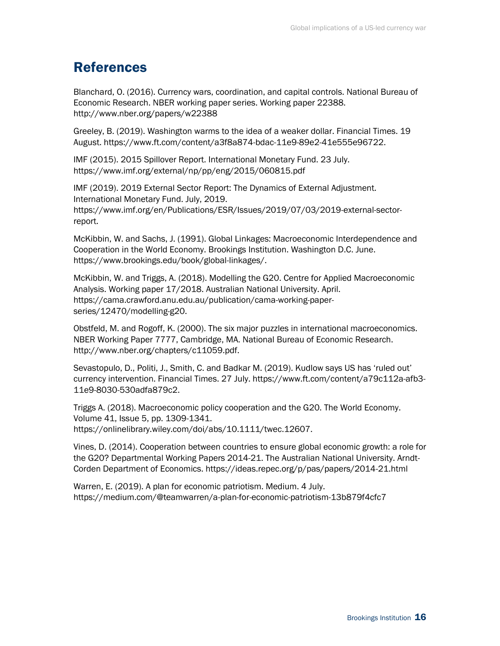# References

Blanchard, O. (2016). Currency wars, coordination, and capital controls. National Bureau of Economic Research. NBER working paper series. Working paper 22388. http://www.nber.org/papers/w22388

Greeley, B. (2019). Washington warms to the idea of a weaker dollar. Financial Times. 19 August. https://www.ft.com/content/a3f8a874-bdac-11e9-89e2-41e555e96722.

IMF (2015). 2015 Spillover Report. International Monetary Fund. 23 July. https://www.imf.org/external/np/pp/eng/2015/060815.pdf

IMF (2019). 2019 External Sector Report: The Dynamics of External Adjustment. International Monetary Fund. July, 2019. https://www.imf.org/en/Publications/ESR/Issues/2019/07/03/2019-external-sectorreport.

McKibbin, W. and Sachs, J. (1991). Global Linkages: Macroeconomic Interdependence and Cooperation in the World Economy. Brookings Institution. Washington D.C. June. https://www.brookings.edu/book/global-linkages/.

McKibbin, W. and Triggs, A. (2018). Modelling the G20. Centre for Applied Macroeconomic Analysis. Working paper 17/2018. Australian National University. April. https://cama.crawford.anu.edu.au/publication/cama-working-paperseries/12470/modelling-g20.

Obstfeld, M. and Rogoff, K. (2000). The six major puzzles in international macroeconomics. NBER Working Paper 7777, Cambridge, MA. National Bureau of Economic Research. http://www.nber.org/chapters/c11059.pdf.

Sevastopulo, D., Politi, J., Smith, C. and Badkar M. (2019). Kudlow says US has 'ruled out' currency intervention. Financial Times. 27 July. https://www.ft.com/content/a79c112a-afb3- 11e9-8030-530adfa879c2.

Triggs A. (2018). Macroeconomic policy cooperation and the G20. The World Economy. Volume 41, Issue 5, pp. 1309-1341. https://onlinelibrary.wiley.com/doi/abs/10.1111/twec.12607.

Vines, D. (2014). Cooperation between countries to ensure global economic growth: a role for the G20? Departmental Working Papers 2014-21. The Australian National University. Arndt-Corden Department of Economics. https://ideas.repec.org/p/pas/papers/2014-21.html

Warren, E. (2019). A plan for economic patriotism. Medium. 4 July. https://medium.com/@teamwarren/a-plan-for-economic-patriotism-13b879f4cfc7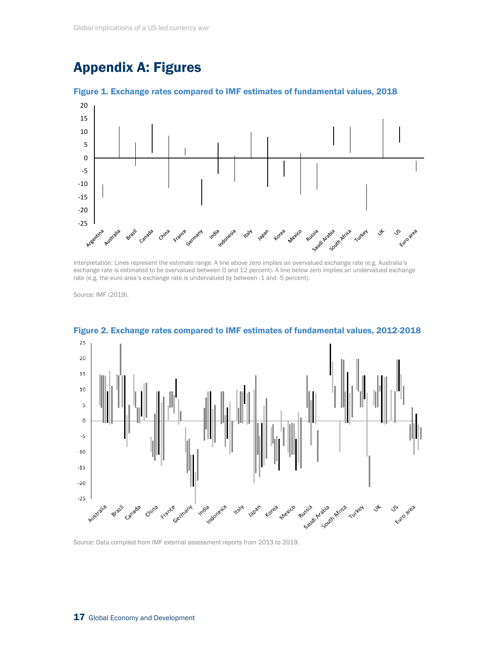# Appendix A: Figures



Figure 1. Exchange rates compared to IMF estimates of fundamental values, 2018

Interpretation: Lines represent the estimate range. A line above zero implies an overvalued exchange rate (e.g. Australia's exchange rate is estimated to be overvalued between 0 and 12 percent). A line below zero implies an undervalued exchange rate (e.g. the euro area's exchange rate is undervalued by between -1 and -5 percent).

Source: IMF (2019).



Figure 2. Exchange rates compared to IMF estimates of fundamental values, 2012-2018

Source: Data compiled from IMF external assessment reports from 2013 to 2019.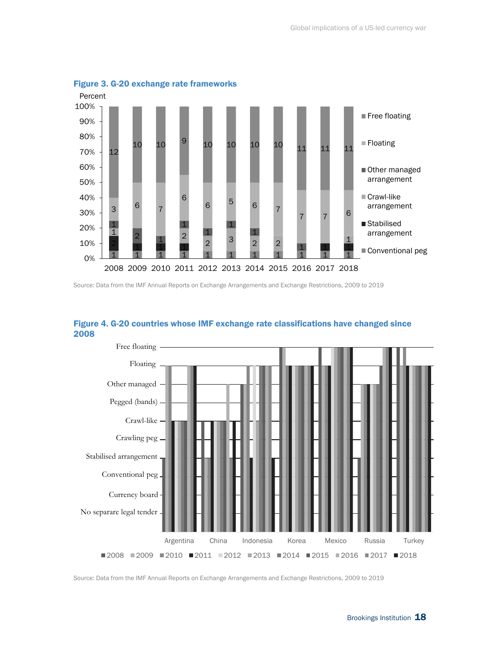

Figure 3. G-20 exchange rate frameworks

Source: Data from the IMF Annual Reports on Exchange Arrangements and Exchange Restrictions, 2009 to 2019



## Figure 4. G-20 countries whose IMF exchange rate classifications have changed since 2008

Source: Data from the IMF Annual Reports on Exchange Arrangements and Exchange Restrictions, 2009 to 2019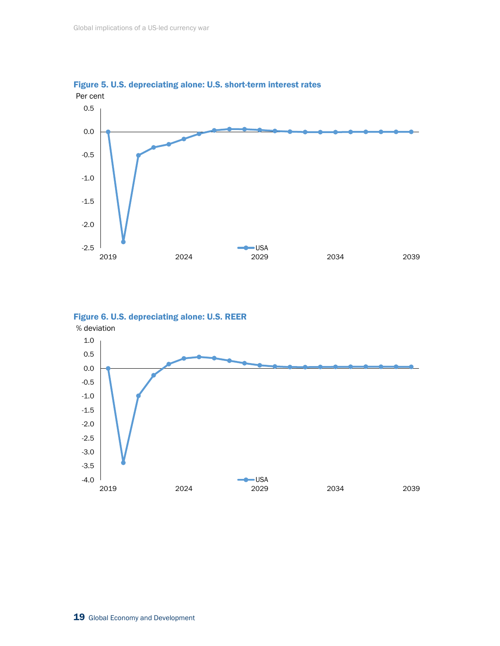

2019 2024 2029 2034 2039

 $\bullet$  USA







-4.0 -3.5 -3.0 -2.5 -2.0 -1.5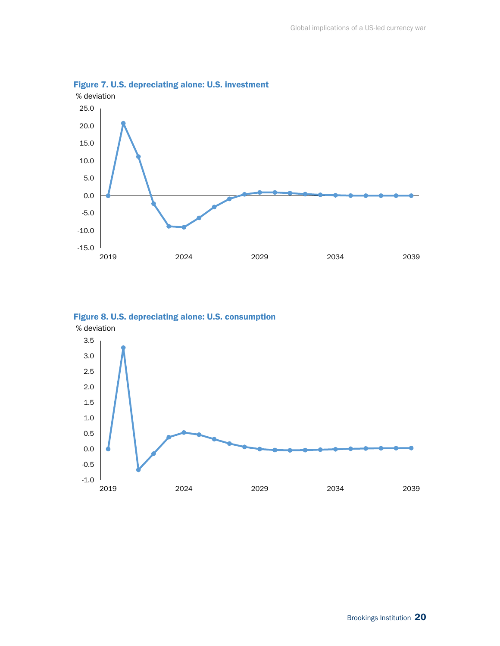

Figure 7. U.S. depreciating alone: U.S. investment



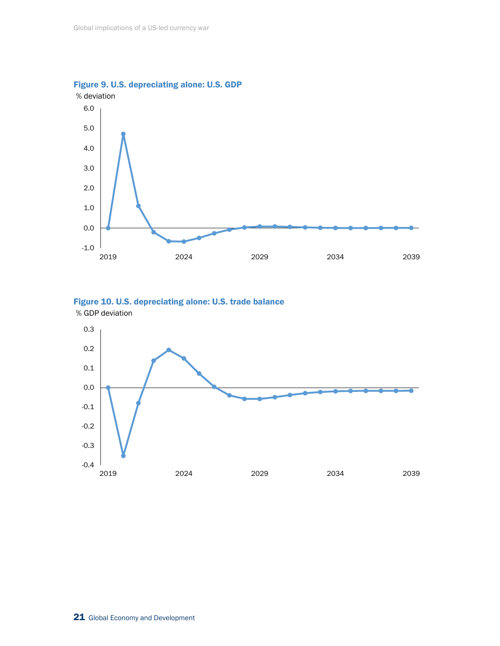



Figure 10. U.S. depreciating alone: U.S. trade balance % GDP deviation

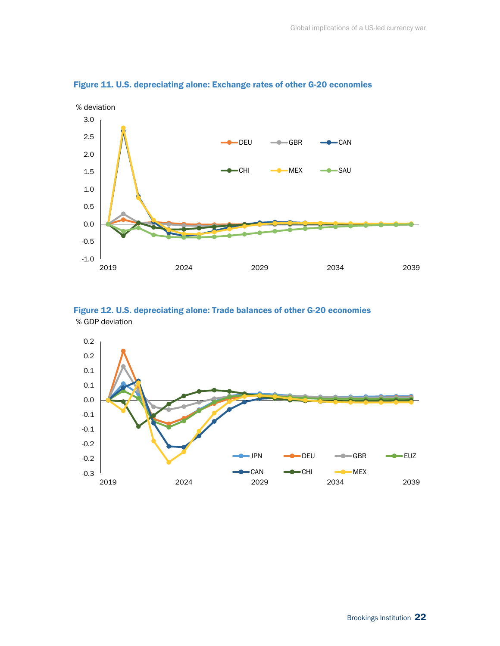

Figure 11. U.S. depreciating alone: Exchange rates of other G-20 economies

Figure 12. U.S. depreciating alone: Trade balances of other G-20 economies % GDP deviation

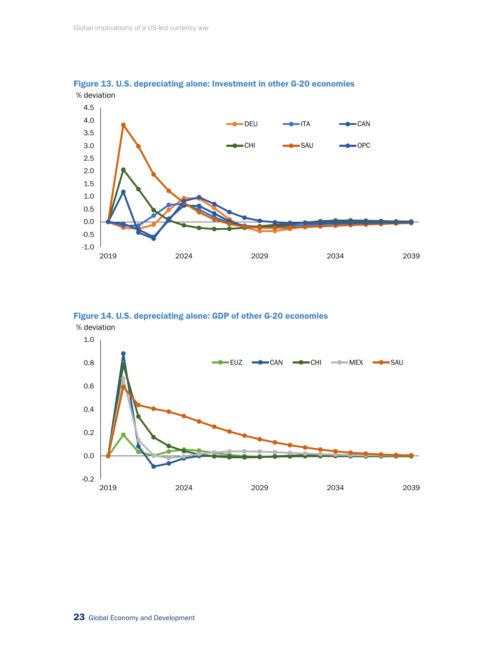

Figure 13. U.S. depreciating alone: Investment in other G-20 economies % deviation



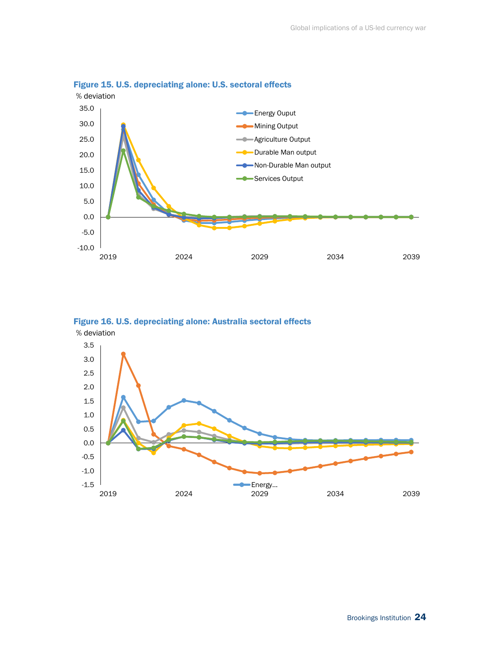

## Figure 15. U.S. depreciating alone: U.S. sectoral effects



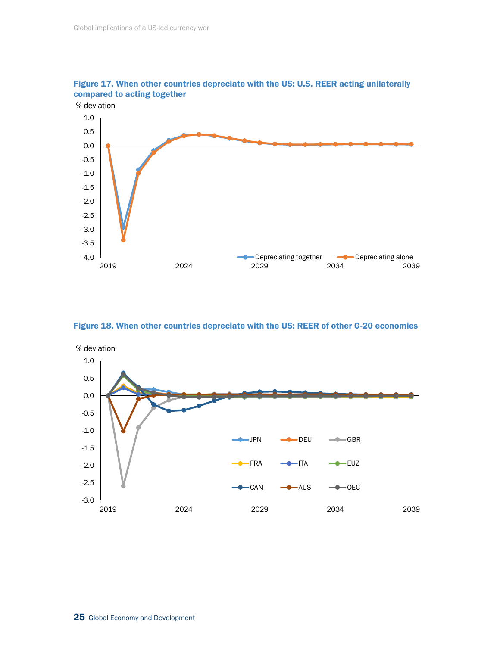

Figure 17. When other countries depreciate with the US: U.S. REER acting unilaterally compared to acting together

Figure 18. When other countries depreciate with the US: REER of other G-20 economies

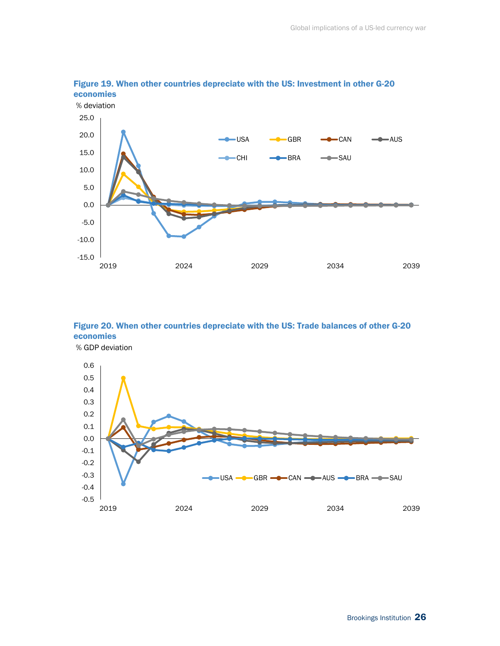

## Figure 19. When other countries depreciate with the US: Investment in other G-20 economies

Figure 20. When other countries depreciate with the US: Trade balances of other G-20 economies % GDP deviation

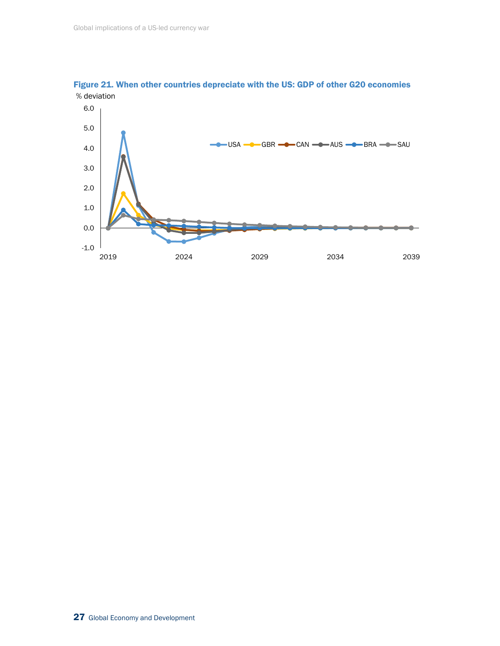

Figure 21. When other countries depreciate with the US: GDP of other G20 economies % deviation